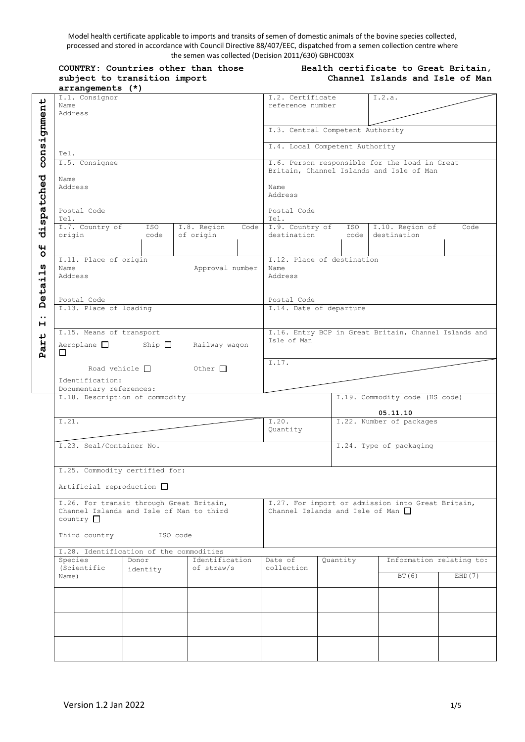Model health certificate applicable to imports and transits of semen of domestic animals of the bovine species collected, processed and stored in accordance with Council Directive 88/407/EEC, dispatched from a semen collection centre where the semen was collected (Decision 2011/630) GBHC003X

| COUNTRY: Countries other than those |  |  |  |  |  |  |
|-------------------------------------|--|--|--|--|--|--|
| subject to transition import        |  |  |  |  |  |  |
| arrangements (*)                    |  |  |  |  |  |  |

#### **Health certificate to Great Britain, Channel Islands and Isle of Man**

|                  | $4 + 1$                                                                              |                                          |                                               |                                        |                                                       |                          |  |
|------------------|--------------------------------------------------------------------------------------|------------------------------------------|-----------------------------------------------|----------------------------------------|-------------------------------------------------------|--------------------------|--|
|                  | I.1. Consignor                                                                       |                                          | I.2. Certificate                              |                                        | I.2.a.                                                |                          |  |
|                  | Name                                                                                 |                                          | reference number                              |                                        |                                                       |                          |  |
|                  | Address                                                                              |                                          |                                               |                                        |                                                       |                          |  |
|                  |                                                                                      |                                          |                                               | I.3. Central Competent Authority       |                                                       |                          |  |
|                  |                                                                                      |                                          |                                               |                                        |                                                       |                          |  |
|                  |                                                                                      |                                          | I.4. Local Competent Authority                |                                        |                                                       |                          |  |
| consignment      | Tel.                                                                                 |                                          |                                               |                                        |                                                       |                          |  |
|                  | I.5. Consignee                                                                       |                                          | I.6. Person responsible for the load in Great |                                        |                                                       |                          |  |
|                  |                                                                                      | Britain, Channel Islands and Isle of Man |                                               |                                        |                                                       |                          |  |
|                  | Name                                                                                 |                                          |                                               |                                        |                                                       |                          |  |
|                  | Address                                                                              | Name                                     |                                               |                                        |                                                       |                          |  |
|                  |                                                                                      |                                          | Address                                       |                                        |                                                       |                          |  |
|                  | Postal Code                                                                          |                                          | Postal Code                                   |                                        |                                                       |                          |  |
| dispatched       | Tel.                                                                                 |                                          | Tel.                                          |                                        |                                                       |                          |  |
|                  | I.7. Country of<br>ISO                                                               | I.8. Region<br>Code                      | I.9. Country of                               |                                        | ISO   I.10. Region of                                 | Code                     |  |
|                  | origin<br>code                                                                       | of origin                                | destination                                   |                                        | code destination                                      |                          |  |
| 4                |                                                                                      |                                          |                                               |                                        |                                                       |                          |  |
| O                |                                                                                      |                                          |                                               |                                        |                                                       |                          |  |
|                  | I.11. Place of origin                                                                |                                          |                                               | I.12. Place of destination             |                                                       |                          |  |
| w<br>ᆏ           | Name<br>Address                                                                      | Approval number                          | Name                                          |                                        |                                                       |                          |  |
|                  |                                                                                      |                                          | Address                                       |                                        |                                                       |                          |  |
|                  |                                                                                      |                                          |                                               |                                        |                                                       |                          |  |
| Detai            | Postal Code                                                                          |                                          | Postal Code                                   |                                        |                                                       |                          |  |
|                  | I.13. Place of loading                                                               |                                          | I.14. Date of departure                       |                                        |                                                       |                          |  |
| $\cdot \cdot$    |                                                                                      |                                          |                                               |                                        |                                                       |                          |  |
| н                | I.15. Means of transport                                                             |                                          |                                               |                                        | I.16. Entry BCP in Great Britain, Channel Islands and |                          |  |
| ↵                |                                                                                      |                                          | Isle of Man                                   |                                        |                                                       |                          |  |
| Par <sup>.</sup> | Aeroplane Ship Railway wagon                                                         |                                          |                                               |                                        |                                                       |                          |  |
|                  | □                                                                                    |                                          |                                               |                                        |                                                       |                          |  |
|                  | Road vehicle $\Box$                                                                  | $\circ$ Other                            | 1.17.                                         |                                        |                                                       |                          |  |
|                  |                                                                                      |                                          |                                               |                                        |                                                       |                          |  |
|                  | Identification:                                                                      |                                          |                                               |                                        |                                                       |                          |  |
|                  |                                                                                      |                                          |                                               |                                        |                                                       |                          |  |
|                  | Documentary references:                                                              |                                          |                                               |                                        |                                                       |                          |  |
|                  | I.18. Description of commodity                                                       |                                          |                                               |                                        | I.19. Commodity code (HS code)                        |                          |  |
|                  |                                                                                      |                                          |                                               |                                        | 05.11.10                                              |                          |  |
|                  | I.21.                                                                                |                                          | I.20.                                         |                                        | I.22. Number of packages                              |                          |  |
|                  |                                                                                      |                                          | Quantity                                      |                                        |                                                       |                          |  |
|                  |                                                                                      |                                          |                                               |                                        |                                                       |                          |  |
|                  | I.23. Seal/Container No.                                                             |                                          |                                               |                                        | I.24. Type of packaging                               |                          |  |
|                  |                                                                                      |                                          |                                               |                                        |                                                       |                          |  |
|                  | I.25. Commodity certified for:                                                       |                                          |                                               |                                        |                                                       |                          |  |
|                  |                                                                                      |                                          |                                               |                                        |                                                       |                          |  |
|                  | Artificial reproduction □                                                            |                                          |                                               |                                        |                                                       |                          |  |
|                  |                                                                                      |                                          |                                               |                                        |                                                       |                          |  |
|                  | I.26. For transit through Great Britain,<br>Channel Islands and Isle of Man to third |                                          |                                               | Channel Islands and Isle of Man $\Box$ | I.27. For import or admission into Great Britain,     |                          |  |
|                  | $country$ $\Box$                                                                     |                                          |                                               |                                        |                                                       |                          |  |
|                  |                                                                                      |                                          |                                               |                                        |                                                       |                          |  |
|                  | Third country<br>ISO code                                                            |                                          |                                               |                                        |                                                       |                          |  |
|                  |                                                                                      |                                          |                                               |                                        |                                                       |                          |  |
|                  | I.28. Identification of the commodities                                              |                                          |                                               |                                        |                                                       |                          |  |
|                  | Species<br>Donor<br>(Scientific                                                      | Identification<br>of straw/s             | Date of<br>collection                         | Quantity                               |                                                       | Information relating to: |  |
|                  | identity<br>Name)                                                                    |                                          |                                               |                                        | BT (6)                                                | EHD(7)                   |  |
|                  |                                                                                      |                                          |                                               |                                        |                                                       |                          |  |
|                  |                                                                                      |                                          |                                               |                                        |                                                       |                          |  |
|                  |                                                                                      |                                          |                                               |                                        |                                                       |                          |  |
|                  |                                                                                      |                                          |                                               |                                        |                                                       |                          |  |
|                  |                                                                                      |                                          |                                               |                                        |                                                       |                          |  |
|                  |                                                                                      |                                          |                                               |                                        |                                                       |                          |  |
|                  |                                                                                      |                                          |                                               |                                        |                                                       |                          |  |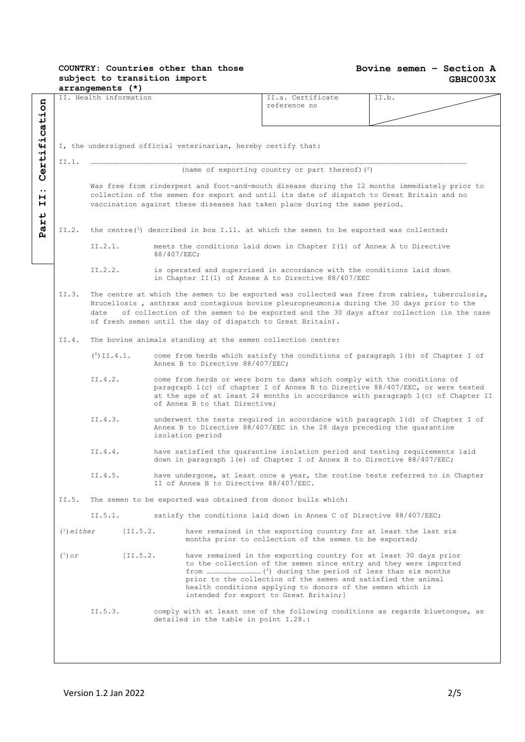#### **Bovine semen – Section A GBHC003X**

|                                                                                                                  |                                                                | arrangements (*)                                              |             |                                                                                                                                                                                                                                                                                                                  |                                                                                                                                                                                                                                                                          |                                                                                                                                                                                                                                                                                         |  |  |
|------------------------------------------------------------------------------------------------------------------|----------------------------------------------------------------|---------------------------------------------------------------|-------------|------------------------------------------------------------------------------------------------------------------------------------------------------------------------------------------------------------------------------------------------------------------------------------------------------------------|--------------------------------------------------------------------------------------------------------------------------------------------------------------------------------------------------------------------------------------------------------------------------|-----------------------------------------------------------------------------------------------------------------------------------------------------------------------------------------------------------------------------------------------------------------------------------------|--|--|
| Certification                                                                                                    |                                                                | II. Health information                                        |             |                                                                                                                                                                                                                                                                                                                  | II.a. Certificate<br>reference no                                                                                                                                                                                                                                        | II.b.                                                                                                                                                                                                                                                                                   |  |  |
|                                                                                                                  | I, the undersigned official veterinarian, hereby certify that: |                                                               |             |                                                                                                                                                                                                                                                                                                                  |                                                                                                                                                                                                                                                                          |                                                                                                                                                                                                                                                                                         |  |  |
|                                                                                                                  | II.1.                                                          |                                                               |             |                                                                                                                                                                                                                                                                                                                  | (name of exporting country or part thereof) $(2)$                                                                                                                                                                                                                        |                                                                                                                                                                                                                                                                                         |  |  |
| $\bullet\bullet$<br>н<br>н                                                                                       |                                                                |                                                               |             |                                                                                                                                                                                                                                                                                                                  | Was free from rinderpest and foot-and-mouth disease during the 12 months immediately prior to<br>collection of the semen for export and until its date of dispatch to Great Britain and no<br>vaccination against these diseases has taken place during the same period. |                                                                                                                                                                                                                                                                                         |  |  |
| ↵<br>Η<br>the centre $(3)$ described in box I.11. at which the semen to be exported was collected:<br>II.2.<br>д |                                                                |                                                               |             |                                                                                                                                                                                                                                                                                                                  |                                                                                                                                                                                                                                                                          |                                                                                                                                                                                                                                                                                         |  |  |
|                                                                                                                  |                                                                | II.2.1.                                                       | 88/407/EEC; |                                                                                                                                                                                                                                                                                                                  | meets the conditions laid down in Chapter I(1) of Annex A to Directive                                                                                                                                                                                                   |                                                                                                                                                                                                                                                                                         |  |  |
|                                                                                                                  |                                                                | II.2.2.                                                       |             |                                                                                                                                                                                                                                                                                                                  | is operated and supervised in accordance with the conditions laid down<br>in Chapter II(1) of Annex A to Directive $88/407/EEC$                                                                                                                                          |                                                                                                                                                                                                                                                                                         |  |  |
|                                                                                                                  | II.3.                                                          | date                                                          |             |                                                                                                                                                                                                                                                                                                                  | of fresh semen until the day of dispatch to Great Britain).                                                                                                                                                                                                              | The centre at which the semen to be exported was collected was free from rabies, tuberculosis,<br>Brucellosis, anthrax and contagious bovine pleuropneumonia during the 30 days prior to the<br>of collection of the semen to be exported and the 30 days after collection (in the case |  |  |
|                                                                                                                  | II.4.                                                          | The bovine animals standing at the semen collection centre:   |             |                                                                                                                                                                                                                                                                                                                  |                                                                                                                                                                                                                                                                          |                                                                                                                                                                                                                                                                                         |  |  |
|                                                                                                                  |                                                                | $(^8)$ II.4.1.                                                |             | Annex B to Directive 88/407/EEC;                                                                                                                                                                                                                                                                                 |                                                                                                                                                                                                                                                                          | come from herds which satisfy the conditions of paragraph 1(b) of Chapter I of                                                                                                                                                                                                          |  |  |
|                                                                                                                  |                                                                | II.4.2.                                                       |             | of Annex B to that Directive;                                                                                                                                                                                                                                                                                    | come from herds or were born to dams which comply with the conditions of                                                                                                                                                                                                 | paragraph 1(c) of chapter I of Annex B to Directive 88/407/EEC, or were tested<br>at the age of at least 24 months in accordance with paragraph 1(c) of Chapter II                                                                                                                      |  |  |
|                                                                                                                  |                                                                | II.4.3.                                                       |             | isolation period                                                                                                                                                                                                                                                                                                 | Annex B to Directive 88/407/EEC in the 28 days preceding the quarantine                                                                                                                                                                                                  | underwent the tests required in accordance with paragraph 1(d) of Chapter I of                                                                                                                                                                                                          |  |  |
|                                                                                                                  |                                                                | II.4.4.                                                       |             |                                                                                                                                                                                                                                                                                                                  | have satisfied the quarantine isolation period and testing requirements laid<br>down in paragraph 1(e) of Chapter I of Annex B to Directive 88/407/EEC;                                                                                                                  |                                                                                                                                                                                                                                                                                         |  |  |
|                                                                                                                  | II.4.5.<br>II of Annex B to Directive 88/407/EEC.              |                                                               |             |                                                                                                                                                                                                                                                                                                                  | have undergone, at least once a year, the routine tests referred to in Chapter                                                                                                                                                                                           |                                                                                                                                                                                                                                                                                         |  |  |
|                                                                                                                  | II.5.                                                          | The semen to be exported was obtained from donor bulls which: |             |                                                                                                                                                                                                                                                                                                                  |                                                                                                                                                                                                                                                                          |                                                                                                                                                                                                                                                                                         |  |  |
|                                                                                                                  | II.5.1.                                                        |                                                               |             | satisfy the conditions laid down in Annex C of Directive 88/407/EEC;                                                                                                                                                                                                                                             |                                                                                                                                                                                                                                                                          |                                                                                                                                                                                                                                                                                         |  |  |
|                                                                                                                  | $(1)$ either<br>$[II.5.2].$                                    |                                                               |             |                                                                                                                                                                                                                                                                                                                  | have remained in the exporting country for at least the last six<br>months prior to collection of the semen to be exported;                                                                                                                                              |                                                                                                                                                                                                                                                                                         |  |  |
|                                                                                                                  | $(1)$ or<br>[I1.5.2]                                           |                                                               |             | have remained in the exporting country for at least 30 days prior<br>to the collection of the semen since entry and they were imported<br>prior to the collection of the semen and satisfied the animal<br>health conditions applying to donors of the semen which is<br>intended for export to Great Britain; ] |                                                                                                                                                                                                                                                                          |                                                                                                                                                                                                                                                                                         |  |  |
| II.5.3.<br>detailed in the table in point I.28.:                                                                 |                                                                |                                                               |             | comply with at least one of the following conditions as regards bluetongue, as                                                                                                                                                                                                                                   |                                                                                                                                                                                                                                                                          |                                                                                                                                                                                                                                                                                         |  |  |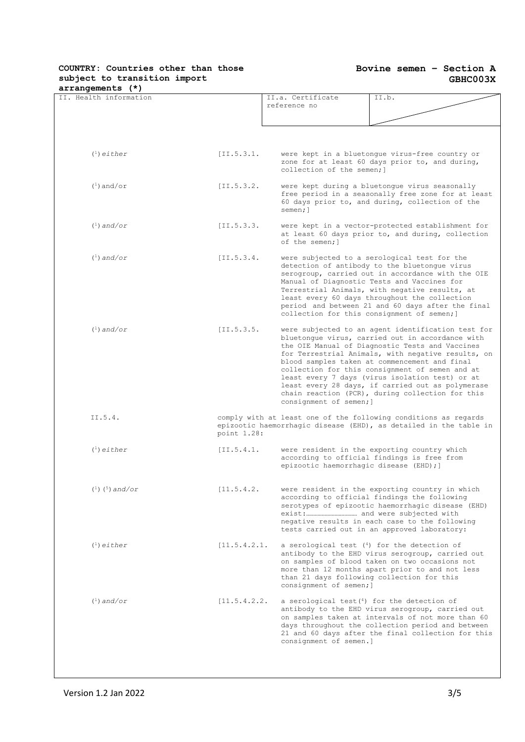#### **Bovine semen – Section A GBHC003X**

| arrangements (*)       |              |                                                                         |                                                                                                                                                                                                                                                                                                                                                                                                                                                                                 |
|------------------------|--------------|-------------------------------------------------------------------------|---------------------------------------------------------------------------------------------------------------------------------------------------------------------------------------------------------------------------------------------------------------------------------------------------------------------------------------------------------------------------------------------------------------------------------------------------------------------------------|
| II. Health information |              | II.a. Certificate<br>reference no                                       | II.b.                                                                                                                                                                                                                                                                                                                                                                                                                                                                           |
|                        |              |                                                                         |                                                                                                                                                                                                                                                                                                                                                                                                                                                                                 |
|                        |              |                                                                         |                                                                                                                                                                                                                                                                                                                                                                                                                                                                                 |
| $(1)$ either           | [II.5.3.1]   | collection of the semen; ]                                              | were kept in a bluetonque virus-free country or<br>zone for at least 60 days prior to, and during,                                                                                                                                                                                                                                                                                                                                                                              |
| $(1)$ and/or           | [II.5.3.2]   | semen; 1                                                                | were kept during a bluetonque virus seasonally<br>free period in a seasonally free zone for at least<br>60 days prior to, and during, collection of the                                                                                                                                                                                                                                                                                                                         |
| $(1)$ and/or           | [II.5.3.3.   | of the semen; 1                                                         | were kept in a vector-protected establishment for<br>at least 60 days prior to, and during, collection                                                                                                                                                                                                                                                                                                                                                                          |
| $(1)$ and/or           | [II.5.3.4]   |                                                                         | were subjected to a serological test for the<br>detection of antibody to the bluetonque virus<br>serogroup, carried out in accordance with the OIE<br>Manual of Diagnostic Tests and Vaccines for<br>Terrestrial Animals, with negative results, at<br>least every 60 days throughout the collection<br>period and between 21 and 60 days after the final<br>collection for this consignment of semen; ]                                                                        |
| $(1)$ and/or           | [II.5.3.5.   | consignment of semen; ]                                                 | were subjected to an agent identification test for<br>bluetonque virus, carried out in accordance with<br>the OIE Manual of Diagnostic Tests and Vaccines<br>for Terrestrial Animals, with negative results, on<br>blood samples taken at commencement and final<br>collection for this consignment of semen and at<br>least every 7 days (virus isolation test) or at<br>least every 28 days, if carried out as polymerase<br>chain reaction (PCR), during collection for this |
| II.5.4.                | point 1.28:  |                                                                         | comply with at least one of the following conditions as regards<br>epizootic haemorrhagic disease (EHD), as detailed in the table in                                                                                                                                                                                                                                                                                                                                            |
| $(1)$ either           | [II.5.4.1]   | epizootic haemorrhagic disease (EHD); ]                                 | were resident in the exporting country which<br>according to official findings is free from                                                                                                                                                                                                                                                                                                                                                                                     |
| $(^1)$ $(^5)$ and/or   | [11.5.4.2]   |                                                                         | were resident in the exporting country in which<br>according to official findings the following<br>serotypes of epizootic haemorrhagic disease (EHD)<br>negative results in each case to the following<br>tests carried out in an approved laboratory:                                                                                                                                                                                                                          |
| $(1)$ either           | [11.5.4.2.1] | consignment of semen; ]                                                 | a serological test $(4)$ for the detection of<br>antibody to the EHD virus serogroup, carried out<br>on samples of blood taken on two occasions not<br>more than 12 months apart prior to and not less<br>than 21 days following collection for this                                                                                                                                                                                                                            |
| $\binom{1}{1}$ and/or  | [11.5.4.2.2] | a serological test $(4)$ for the detection of<br>consignment of semen.] | antibody to the EHD virus serogroup, carried out<br>on samples taken at intervals of not more than 60<br>days throughout the collection period and between<br>21 and 60 days after the final collection for this                                                                                                                                                                                                                                                                |
|                        |              |                                                                         |                                                                                                                                                                                                                                                                                                                                                                                                                                                                                 |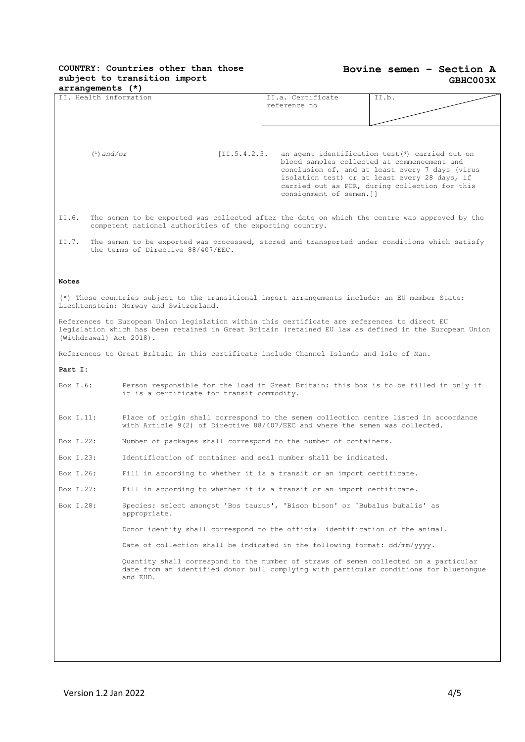#### **Bovine semen – Section A GBHC003X**

| arrangements (*)        |                                                                                                                                                                                                        |                                   |                                                                                                                                                                                                                                                        |
|-------------------------|--------------------------------------------------------------------------------------------------------------------------------------------------------------------------------------------------------|-----------------------------------|--------------------------------------------------------------------------------------------------------------------------------------------------------------------------------------------------------------------------------------------------------|
| II. Health information  |                                                                                                                                                                                                        | II.a. Certificate<br>reference no | II.b.                                                                                                                                                                                                                                                  |
|                         |                                                                                                                                                                                                        |                                   |                                                                                                                                                                                                                                                        |
|                         |                                                                                                                                                                                                        |                                   |                                                                                                                                                                                                                                                        |
|                         |                                                                                                                                                                                                        |                                   |                                                                                                                                                                                                                                                        |
| $(1)$ and/or            | [II.5.4.2.3]                                                                                                                                                                                           | consignment of semen.]]           | an agent identification test $(4)$ carried out on<br>blood samples collected at commencement and<br>conclusion of, and at least every 7 days (virus<br>isolation test) or at least every 28 days, if<br>carried out as PCR, during collection for this |
| II.6.                   | The semen to be exported was collected after the date on which the centre was approved by the<br>competent national authorities of the exporting country.                                              |                                   |                                                                                                                                                                                                                                                        |
| II.7.                   | The semen to be exported was processed, stored and transported under conditions which satisfy<br>the terms of Directive 88/407/EEC.                                                                    |                                   |                                                                                                                                                                                                                                                        |
| <b>Notes</b>            |                                                                                                                                                                                                        |                                   |                                                                                                                                                                                                                                                        |
|                         | (*) Those countries subject to the transitional import arrangements include: an EU member State;<br>Liechtenstein; Norway and Switzerland.                                                             |                                   |                                                                                                                                                                                                                                                        |
| (Withdrawal) Act 2018). | References to European Union legislation within this certificate are references to direct EU<br>legislation which has been retained in Great Britain (retained EU law as defined in the European Union |                                   |                                                                                                                                                                                                                                                        |
|                         | References to Great Britain in this certificate include Channel Islands and Isle of Man.                                                                                                               |                                   |                                                                                                                                                                                                                                                        |
| Part I:                 |                                                                                                                                                                                                        |                                   |                                                                                                                                                                                                                                                        |
| Box I.6:                | Person responsible for the load in Great Britain: this box is to be filled in only if<br>it is a certificate for transit commodity.                                                                    |                                   |                                                                                                                                                                                                                                                        |
| Box I.11:               | Place of origin shall correspond to the semen collection centre listed in accordance<br>with Article 9(2) of Directive 88/407/EEC and where the semen was collected.                                   |                                   |                                                                                                                                                                                                                                                        |
| Box I.22:               | Number of packages shall correspond to the number of containers.                                                                                                                                       |                                   |                                                                                                                                                                                                                                                        |
| Box I.23:               | Identification of container and seal number shall be indicated.                                                                                                                                        |                                   |                                                                                                                                                                                                                                                        |
| Box I.26:               | Fill in according to whether it is a transit or an import certificate.                                                                                                                                 |                                   |                                                                                                                                                                                                                                                        |
| Box I.27:               | Fill in according to whether it is a transit or an import certificate.                                                                                                                                 |                                   |                                                                                                                                                                                                                                                        |
| Box I.28:               | Species: select amongst 'Bos taurus', 'Bison bison' or 'Bubalus bubalis' as<br>appropriate.                                                                                                            |                                   |                                                                                                                                                                                                                                                        |
|                         | Donor identity shall correspond to the official identification of the animal.                                                                                                                          |                                   |                                                                                                                                                                                                                                                        |
|                         | Date of collection shall be indicated in the following format: dd/mm/yyyy.                                                                                                                             |                                   |                                                                                                                                                                                                                                                        |
|                         | Quantity shall correspond to the number of straws of semen collected on a particular<br>date from an identified donor bull complying with particular conditions for bluetongue<br>and EHD.             |                                   |                                                                                                                                                                                                                                                        |
|                         |                                                                                                                                                                                                        |                                   |                                                                                                                                                                                                                                                        |
|                         |                                                                                                                                                                                                        |                                   |                                                                                                                                                                                                                                                        |
|                         |                                                                                                                                                                                                        |                                   |                                                                                                                                                                                                                                                        |
|                         |                                                                                                                                                                                                        |                                   |                                                                                                                                                                                                                                                        |
|                         |                                                                                                                                                                                                        |                                   |                                                                                                                                                                                                                                                        |

 $\overline{\phantom{a}}$